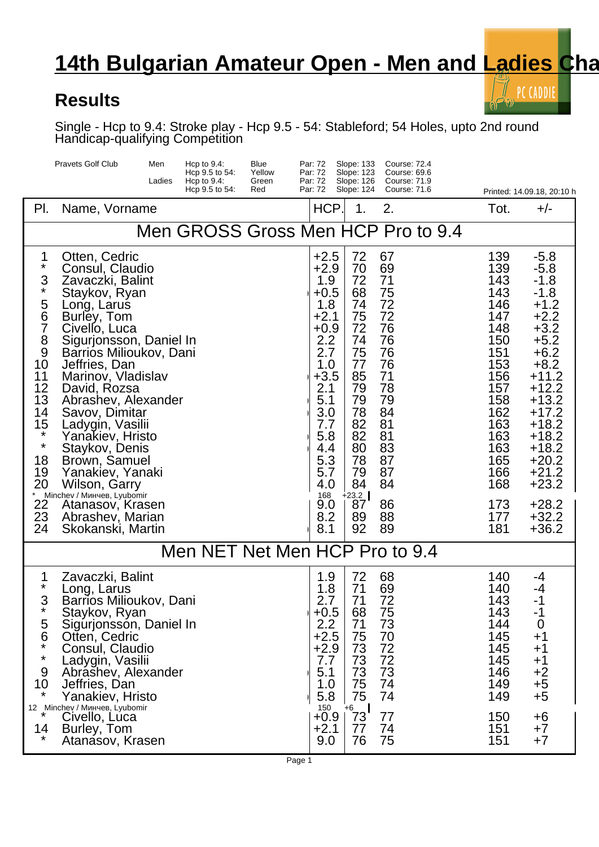## **14th Bulgarian Amateur Open - Men and Ladies Champy**

## **Results**

PC CADDIE

Single - Hcp to 9.4: Stroke play - Hcp 9.5 - 54: Stableford; 54 Holes, upto 2nd round Handicap-qualifying Competition

| <b>Pravets Golf Club</b>                                                                                                                                          |                                                                                                                                                                                                                                                                                                                                                                                                                                                               | Men<br>Ladies | Hcp to $9.4$ :<br>Hcp 9.5 to 54:<br>Hcp to $9.4$ : | Blue<br>Yellow<br>Green | Par: 72<br>Par: 72<br>Par: 72                                                                                                                                                   | Slope: 133<br>Slope: 123<br>Slope: 126                                                                                                      | <b>Course: 72.4</b><br>Course: 69.6<br>Course: 71.9                                                                              |                                                                                                                                                        |  |                                                                                                                                                                                                                                      |
|-------------------------------------------------------------------------------------------------------------------------------------------------------------------|---------------------------------------------------------------------------------------------------------------------------------------------------------------------------------------------------------------------------------------------------------------------------------------------------------------------------------------------------------------------------------------------------------------------------------------------------------------|---------------|----------------------------------------------------|-------------------------|---------------------------------------------------------------------------------------------------------------------------------------------------------------------------------|---------------------------------------------------------------------------------------------------------------------------------------------|----------------------------------------------------------------------------------------------------------------------------------|--------------------------------------------------------------------------------------------------------------------------------------------------------|--|--------------------------------------------------------------------------------------------------------------------------------------------------------------------------------------------------------------------------------------|
|                                                                                                                                                                   |                                                                                                                                                                                                                                                                                                                                                                                                                                                               |               | Hcp 9.5 to 54:                                     | Red                     | Par: 72                                                                                                                                                                         | Slope: 124                                                                                                                                  | Course: 71.6                                                                                                                     |                                                                                                                                                        |  | Printed: 14.09.18, 20:10 h                                                                                                                                                                                                           |
| PI.                                                                                                                                                               | Name, Vorname                                                                                                                                                                                                                                                                                                                                                                                                                                                 |               |                                                    |                         | HCP.                                                                                                                                                                            | 1.                                                                                                                                          | 2.                                                                                                                               | Tot.                                                                                                                                                   |  | $+/-$                                                                                                                                                                                                                                |
|                                                                                                                                                                   |                                                                                                                                                                                                                                                                                                                                                                                                                                                               |               |                                                    |                         |                                                                                                                                                                                 |                                                                                                                                             | Men GROSS Gross Men HCP Pro to 9.4                                                                                               |                                                                                                                                                        |  |                                                                                                                                                                                                                                      |
| 1<br>$\star$<br>3<br>$\star$<br>5<br>6<br>$\overline{7}$<br>$\frac{8}{9}$<br>10<br>11<br>12<br>13<br>14<br>15<br>$\star$<br>$\star$<br>18<br>19<br>20<br>22<br>23 | Otten, Cedric<br>Consul, Claudio<br>Zavaczki, Balint<br>Staykov, Ryan<br>Long, Larus<br>Burley, Tom<br>Civello, Luca<br>Sigurjonsson, Daniel In<br>Barrios Milioukov, Dani<br>Jeffries, Dan<br>Marinov, Vladislav<br>David, Rozsa<br>Abrashev, Alexander<br>Savov, Dimitar<br>Ladygin, Vasilii<br>Yanakiev, Hristo<br>Staykov, Denis<br>Brown, Samuel<br>Yanakiev, Yanaki<br>Wilson, Garry<br>Minchev /<br>, Lyubomir<br>Atanasov, Krasen<br>Abrashev, Marian |               |                                                    |                         | $+2.5$<br>$+2.9$<br>1.9<br>$+0.5$<br>1.8<br>$+2.1$<br>$+0.9$<br>2.2<br>2.7<br>1.0<br>$+3.5$<br>2.1<br>5.1<br>3.0<br>7.7<br>5.8<br>4.4<br>5.3<br>5.7<br>4.0<br>168<br>9.0<br>8.2 | 72<br>70<br>72<br>68<br>74<br>75<br>72<br>74<br>75<br>77<br>85<br>79<br>79<br>78<br>82<br>82<br>80<br>78<br>79<br>84<br>$+23.2$<br>87<br>89 | 67<br>69<br>71<br>75<br>72<br>72<br>76<br>76<br>76<br>76<br>71<br>78<br>79<br>84<br>81<br>81<br>83<br>87<br>87<br>84<br>86<br>88 | 139<br>139<br>143<br>143<br>146<br>147<br>148<br>150<br>151<br>153<br>156<br>157<br>158<br>162<br>163<br>163<br>163<br>165<br>166<br>168<br>173<br>177 |  | $-5.8$<br>$-5.8$<br>$-1.8$<br>$-1.8$<br>$+1.2$<br>$+2.2$<br>$+3.2$<br>$+5.2$<br>$+6.2$<br>$+8.2$<br>$+11.2$<br>$+12.2$<br>$+13.2$<br>$+17.2$<br>$+18.2$<br>$+18.2$<br>$+18.2$<br>$+20.2$<br>$+21.2$<br>$+23.2$<br>$+28.2$<br>$+32.2$ |
| 24                                                                                                                                                                | Skokanski, Martin                                                                                                                                                                                                                                                                                                                                                                                                                                             |               |                                                    |                         | 8.1                                                                                                                                                                             | 92                                                                                                                                          | 89                                                                                                                               | 181                                                                                                                                                    |  | $+36.2$                                                                                                                                                                                                                              |
|                                                                                                                                                                   | Men NET Net Men HCP Pro to 9.4                                                                                                                                                                                                                                                                                                                                                                                                                                |               |                                                    |                         |                                                                                                                                                                                 |                                                                                                                                             |                                                                                                                                  |                                                                                                                                                        |  |                                                                                                                                                                                                                                      |
| 1<br>$\star$<br>3<br>$\frac{5}{6}$<br>$\star$<br>$\star$<br>9<br>10<br>$\star$<br>12 Minchev/<br>14<br>$\star$                                                    | Zavaczki, Balint<br>Long, Larus<br>Barrios Milioukov, Dani<br>Staykov, Ryan<br>Sigurjonsson, Daniel In<br>Otten, Cedric<br>Consul, Claudio<br>Ladygin, Vasilii<br>Abrashev, Alexander<br>Jeffries, Dan<br>Yanakiev, Hristo<br>, Lyubomir<br>Civello, Lúca<br>Burley, Tom<br>Atanasov, Krasen                                                                                                                                                                  |               |                                                    |                         | 1.9<br>1.8<br>2.7<br>$+0.5$<br>2.2<br>$+2.5$<br>$+2.9$<br>7.7<br>5.1<br>1.0<br>5.8<br>150<br>+0.9<br>$+2.1$<br>9.0                                                              | 72<br>71<br>71<br>68<br>71<br>75<br>73<br>73<br>73<br>75<br>75<br><sup>ั∔6</sup><br>  73<br>77<br>76                                        | 68<br>69<br>72<br>75<br>73<br>70<br>72<br>72<br>73<br>74<br>74<br>77<br>74<br>75                                                 | 140<br>140<br>143<br>143<br>144<br>145<br>145<br>145<br>146<br>149<br>149<br>150<br>151<br>151                                                         |  | -4<br>-4<br>$-1$<br>-1<br>$\overline{0}$<br>$+1$<br>$^{+1}$<br>$+1$<br>$+2$<br>$+5$<br>$+5$<br>+6<br>$+7$<br>$+7$                                                                                                                    |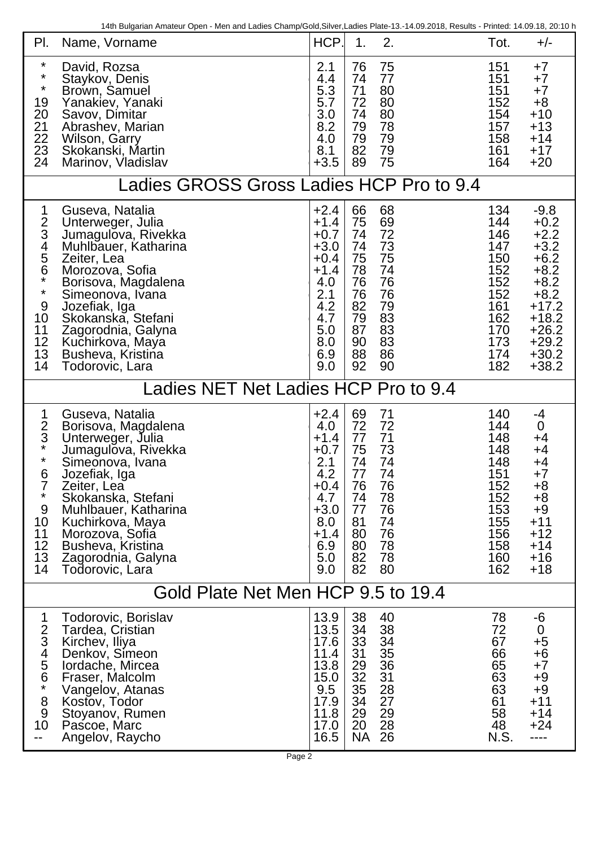14th Bulgarian Amateur Open - Men and Ladies Champ/Gold,Silver,Ladies Plate-13.-14.09.2018, Results - Printed: 14.09.18, 20:10 h

| PI.<br>Name, Vorname                                                                                                                                                                                                                                                                                                                                                                                     | HCP.                                                                                                             | 2.<br>1.                                                                                                                                                             | Tot.                                                                                           | $+/-$                                                                                                                                          |  |  |  |  |
|----------------------------------------------------------------------------------------------------------------------------------------------------------------------------------------------------------------------------------------------------------------------------------------------------------------------------------------------------------------------------------------------------------|------------------------------------------------------------------------------------------------------------------|----------------------------------------------------------------------------------------------------------------------------------------------------------------------|------------------------------------------------------------------------------------------------|------------------------------------------------------------------------------------------------------------------------------------------------|--|--|--|--|
| $\star$<br>David, Rozsa<br>$\star$<br>Staykov, Denis<br>$\star$<br>Brown, Samuel<br>19<br>Yanakiev, Yanaki<br>20<br>Savov, Dimitar<br>$\frac{21}{22}$<br>Abrashey, Marian<br>Wilson, Garry<br>23<br>Skokanski, Martin<br>24<br>Marinov, Vladislav                                                                                                                                                        | 2.1<br>4.4<br>5.3<br>5.7<br>3.0<br>8.2<br>4.0<br>8.1<br>$+3.5$                                                   | 75<br>76<br>74<br>77<br>80<br>71<br>80<br>72<br>80<br>74<br>78<br>79<br>79<br>79<br>82<br>79<br>75<br>89                                                             | 151<br>151<br>151<br>152<br>154<br>157<br>158<br>161<br>164                                    | $+7$<br>$+7$<br>$+7$<br>$+8$<br>$+10$<br>$+13$<br>$+14$<br>$+17$<br>$+20$                                                                      |  |  |  |  |
| Ladies GROSS Gross Ladies HCP Pro to 9.4                                                                                                                                                                                                                                                                                                                                                                 |                                                                                                                  |                                                                                                                                                                      |                                                                                                |                                                                                                                                                |  |  |  |  |
| Guseva, Natalia<br>1<br>$rac{2}{3}$<br>Unterweger, Julia<br>Jumagulova, Rivekka<br>$\overline{4}$<br>Muhlbauer, Katharina<br>5<br>Zeiter, Lea<br>6<br>Morozova, Sofia<br>$\star$<br>Borisova, Magdalena<br>$\star$<br>Simeonova, Ivana<br>9<br>Jozefiak, Iga<br>10<br>Skokanska, Stefani<br>11<br>Zagorodnia, Galyna<br>12<br>Kuchirkova, Maya<br>13<br>Busheva, Kristina<br>14<br>Todorovic, Lara       | $+2.4$<br>$+1.4$<br>$+0.7$<br>$+3.0$<br>$+0.4$<br>$+1.4$<br>4.0<br>2.1<br>4.2<br>4.7<br>5.0<br>8.0<br>6.9<br>9.0 | 66<br>68<br>69<br>75<br>72<br>74<br>73<br>74<br>75<br>75<br>74<br>78<br>76<br>76<br>76<br>76<br>79<br>82<br>83<br>79<br>83<br>87<br>83<br>90<br>86<br>88<br>92<br>90 | 134<br>144<br>146<br>147<br>150<br>152<br>152<br>152<br>161<br>162<br>170<br>173<br>174<br>182 | $-9.8$<br>$+0.2$<br>$+2.2$<br>$+3.2$<br>$+6.2$<br>$+8.2$<br>$+8.2$<br>$+8.2$<br>$+17.2$<br>$+18.2$<br>$+26.2$<br>$+29.2$<br>$+30.2$<br>$+38.2$ |  |  |  |  |
| adies NET Net Ladies HCP Pro to 9.4                                                                                                                                                                                                                                                                                                                                                                      |                                                                                                                  |                                                                                                                                                                      |                                                                                                |                                                                                                                                                |  |  |  |  |
| 1<br>Guseva, Natalia<br>$rac{2}{3}$<br>Borisova, Magdalena<br>Unterweger, Julia<br>$\star$<br>Jumagulova, Rivekka<br>$\star$<br>Simeonova, Ivana<br>6<br>Jozefiak, Iga<br>$\overline{7}$<br>Zeiter, Lea<br>$\star$<br>Skokanska, Stefani<br>9<br>Muhlbauer, Katharina<br>10<br>Kuchirkova, Maya<br>11<br>Morozova, Sofiá<br>12<br>Busheva, Kristina<br>13<br>Zagorodnia, Galyna<br>14<br>Todorovic, Lara | $+2.4$<br>4.0<br>$+1.4$<br>$+0.7$<br>2.1<br>4.2<br>+0.4<br>4.7<br>$+3.0$<br>8.0<br>$+1.4$<br>6.9<br>5.0<br>9.0   | 71<br>69<br>72<br>72<br>71<br>77<br>73<br>75<br>74<br>74<br>74<br>77<br>76<br>76<br>74<br>78<br>76<br>77<br>81<br>74<br>76<br>80<br>78<br>80<br>82<br>78<br>82<br>80 | 140<br>144<br>148<br>148<br>148<br>151<br>152<br>152<br>153<br>155<br>156<br>158<br>160<br>162 | -4<br>$\mathbf 0$<br>+4<br>+4<br>+4<br>$+7$<br>$+8$<br>$+8$<br>$+9$<br>$+11$<br>$+12$<br>$+14$<br>$+16$<br>$+18$                               |  |  |  |  |
| Gold Plate Net Men HCP 9.5 to 19.4                                                                                                                                                                                                                                                                                                                                                                       |                                                                                                                  |                                                                                                                                                                      |                                                                                                |                                                                                                                                                |  |  |  |  |
| $\mathbf 1$<br>Todorovic, Borislav<br>$\overline{2}$<br>Tardea, Cristian<br>3<br>Kirchev, Iliya<br>4<br>Denkov, Simeon<br>5<br>lordache, Mircea<br>6<br>Fraser, Malcolm<br>$\star$<br>Vangelov, Atanas<br>8<br>Kostov, Todor<br>9<br>Stoyanov, Rumen<br>10<br>Pascoe, Marc<br>Angelov, Raycho                                                                                                            | 13.9<br>13.5<br>17.6<br>11.4<br>13.8<br>15.0<br>9.5<br>17.9<br>11.8<br>17.0<br>16.5                              | 38<br>40<br>38<br>34<br>33<br>34<br>35<br>31<br>29<br>36<br>32<br>31<br>35<br>28<br>27<br>34<br>29<br>29<br>28<br>20<br><b>NA</b><br>26                              | 78<br>72<br>67<br>66<br>65<br>63<br>63<br>61<br>58<br>48<br>N.S.                               | -6<br>$\overline{0}$<br>$+5$<br>$+6$<br>$+7$<br>$+9$<br>$+9$<br>$+11$<br>$+14$<br>$+24$<br>----                                                |  |  |  |  |